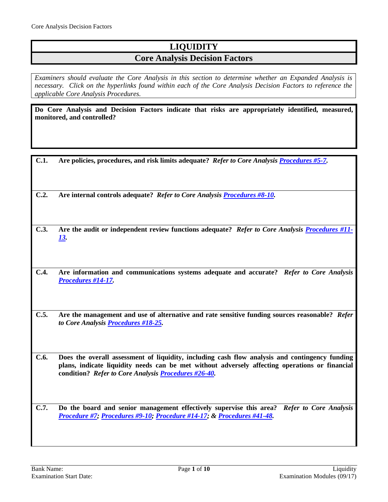## **LIQUIDITY**

## **Core Analysis Decision Factors**

*Examiners should evaluate the Core Analysis in this section to determine whether an Expanded Analysis is necessary. Click on the hyperlinks found within each of the Core Analysis Decision Factors to reference the applicable Core Analysis Procedures.*

**Do Core Analysis and Decision Factors indicate that risks are appropriately identified, measured, monitored, and controlled?**

| C.1. | Are policies, procedures, and risk limits adequate? Refer to Core Analysis Procedures #5-7. |  |
|------|---------------------------------------------------------------------------------------------|--|
|      |                                                                                             |  |

**C.2. Are internal controls adequate?** *Refer to Core Analysis [Procedures #8-10.](#page-2-0)*

**C.3. Are the audit or independent review functions adequate?** *Refer to Core Analysis [Procedures #11-](#page-3-0) [13.](#page-3-0)*

**C.4. Are information and communications systems adequate and accurate?** *Refer to Core Analysis [Procedures #14-17.](#page-3-1)*

**C.5. Are the management and use of alternative and rate sensitive funding sources reasonable?** *Refer to Core Analysi[s Procedures #18-25.](#page-3-2)*

**C.6. Does the overall assessment of liquidity, including cash flow analysis and contingency funding plans, indicate liquidity needs can be met without adversely affecting operations or financial condition?** *Refer to Core Analysi[s Procedures #26-40.](#page-5-0)*

**C.7. Do the board and senior management effectively supervise this area?** *Refer to Core Analysis [Procedure #7;](#page-2-1) [Procedures #9-10;](#page-2-2) [Procedure #14-17;](#page-3-1) & [Procedures #41-48.](#page-8-0)*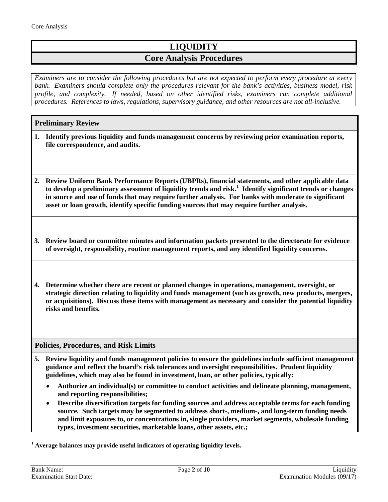# **LIQUIDITY**

## **Core Analysis Procedures**

*Examiners are to consider the following procedures but are not expected to perform every procedure at every bank. Examiners should complete only the procedures relevant for the bank's activities, business model, risk profile, and complexity. If needed, based on other identified risks, examiners can complete additional procedures. References to laws, regulations, supervisory guidance, and other resources are not all-inclusive.*

### **Preliminary Review**

- **1. Identify previous liquidity and funds management concerns by reviewing prior examination reports, file correspondence, and audits.**
- **2. Review Uniform Bank Performance Reports (UBPRs), financial statements, and other applicable data to develop a preliminary assessment of liquidity trends and risk.[1](#page-1-1) Identify significant trends or changes in source and use of funds that may require further analysis. For banks with moderate to significant asset or loan growth, identify specific funding sources that may require further analysis.**
- **3. Review board or committee minutes and information packets presented to the directorate for evidence of oversight, responsibility, routine management reports, and any identified liquidity concerns.**
- **4. Determine whether there are recent or planned changes in operations, management, oversight, or strategic direction relating to liquidity and funds management (such as growth, new products, mergers, or acquisitions). Discuss these items with management as necessary and consider the potential liquidity risks and benefits.**

#### <span id="page-1-0"></span>**Policies, Procedures, and Risk Limits**

- **5. Review liquidity and funds management policies to ensure the guidelines include sufficient management guidance and reflect the board's risk tolerances and oversight responsibilities. Prudent liquidity guidelines, which may also be found in investment, loan, or other policies, typically:**
	- **Authorize an individual(s) or committee to conduct activities and delineate planning, management, and reporting responsibilities;**
	- **Describe diversification targets for funding sources and address acceptable terms for each funding source. Such targets may be segmented to address short-, medium-, and long-term funding needs and limit exposures to, or concentrations in, single providers, market segments, wholesale funding types, investment securities, marketable loans, other assets, etc.;**

<span id="page-1-1"></span>**<sup>1</sup> Average balances may provide useful indicators of operating liquidity levels.**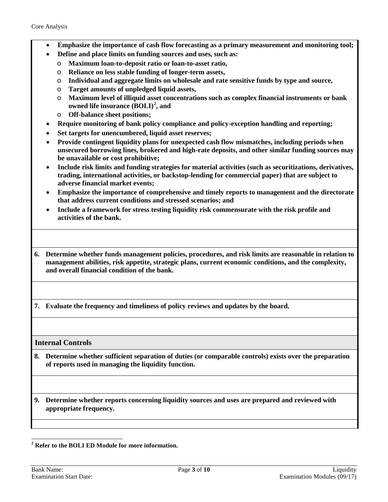- **Emphasize the importance of cash flow forecasting as a primary measurement and monitoring tool;**
	- **Define and place limits on funding sources and uses, such as:**
		- o **Maximum loan-to-deposit ratio or loan-to-asset ratio,**
		- o **Reliance on less stable funding of longer-term assets,**
		- o **Individual and aggregate limits on wholesale and rate sensitive funds by type and source,**
		- o **Target amounts of unpledged liquid assets,**
		- o **Maximum level of illiquid asset concentrations such as complex financial instruments or bank owned life insurance (BOLI) [2](#page-2-3) , and**
		- o **Off-balance sheet positions;**
- **Require monitoring of bank policy compliance and policy-exception handling and reporting;**
- **Set targets for unencumbered, liquid asset reserves;**
- **Provide contingent liquidity plans for unexpected cash flow mismatches, including periods when unsecured borrowing lines, brokered and high-rate deposits, and other similar funding sources may be unavailable or cost prohibitive;**
- **Include risk limits and funding strategies for material activities (such as securitizations, derivatives, trading, international activities, or backstop-lending for commercial paper) that are subject to adverse financial market events;**
- **Emphasize the importance of comprehensive and timely reports to management and the directorate that address current conditions and stressed scenarios; and**
- **Include a framework for stress testing liquidity risk commensurate with the risk profile and activities of the bank.**
- **6. Determine whether funds management policies, procedures, and risk limits are reasonable in relation to management abilities, risk appetite, strategic plans, current economic conditions, and the complexity, and overall financial condition of the bank.**

<span id="page-2-1"></span>**7. Evaluate the frequency and timeliness of policy reviews and updates by the board.**

<span id="page-2-0"></span>**Internal Controls**

**8. Determine whether sufficient separation of duties (or comparable controls) exists over the preparation of reports used in managing the liquidity function.**

<span id="page-2-2"></span>**9. Determine whether reports concerning liquidity sources and uses are prepared and reviewed with appropriate frequency.**

<span id="page-2-3"></span>**<sup>2</sup> Refer to the BOLI ED Module for more information.**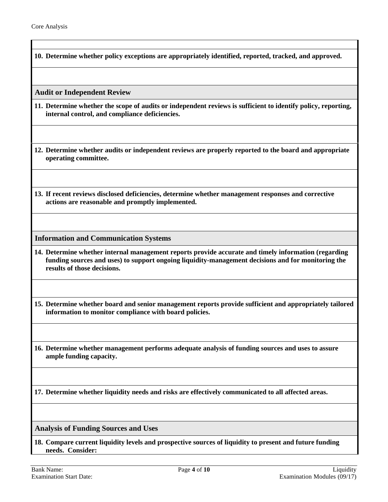**10. Determine whether policy exceptions are appropriately identified, reported, tracked, and approved.**

<span id="page-3-0"></span>**Audit or Independent Review**

- **11. Determine whether the scope of audits or independent reviews is sufficient to identify policy, reporting, internal control, and compliance deficiencies.**
- **12. Determine whether audits or independent reviews are properly reported to the board and appropriate operating committee.**
- **13. If recent reviews disclosed deficiencies, determine whether management responses and corrective actions are reasonable and promptly implemented.**

<span id="page-3-1"></span>**Information and Communication Systems**

**14. Determine whether internal management reports provide accurate and timely information (regarding funding sources and uses) to support ongoing liquidity-management decisions and for monitoring the results of those decisions.** 

**15. Determine whether board and senior management reports provide sufficient and appropriately tailored information to monitor compliance with board policies.** 

**16. Determine whether management performs adequate analysis of funding sources and uses to assure ample funding capacity.** 

**17. Determine whether liquidity needs and risks are effectively communicated to all affected areas.**

<span id="page-3-2"></span>**Analysis of Funding Sources and Uses**

**18. Compare current liquidity levels and prospective sources of liquidity to present and future funding needs. Consider:**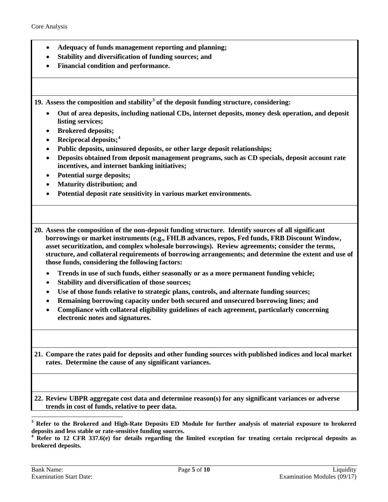- **Adequacy of funds management reporting and planning;**
- **Stability and diversification of funding sources; and**
- **Financial condition and performance.**

**19. Assess the composition and stability[3](#page-4-0) of the deposit funding structure, considering:**

- **Out of area deposits, including national CDs, internet deposits, money desk operation, and deposit listing services;**
- **Brokered deposits;**
- **Reciprocal deposits;[4](#page-4-1)**
- **Public deposits, uninsured deposits, or other large deposit relationships;**
- **Deposits obtained from deposit management programs, such as CD specials, deposit account rate incentives, and internet banking initiatives;**
- **Potential surge deposits;**
- **Maturity distribution; and**
- **Potential deposit rate sensitivity in various market environments.**

**20. Assess the composition of the non-deposit funding structure. Identify sources of all significant borrowings or market instruments (e.g., FHLB advances, repos, Fed funds, FRB Discount Window, asset securitization, and complex wholesale borrowings). Review agreements; consider the terms, structure, and collateral requirements of borrowing arrangements; and determine the extent and use of those funds, considering the following factors:**

- **Trends in use of such funds, either seasonally or as a more permanent funding vehicle;**
- **Stability and diversification of those sources;**
- **Use of those funds relative to strategic plans, controls, and alternate funding sources;**
- **Remaining borrowing capacity under both secured and unsecured borrowing lines; and**
- **Compliance with collateral eligibility guidelines of each agreement, particularly concerning electronic notes and signatures.**

**21. Compare the rates paid for deposits and other funding sources with published indices and local market rates. Determine the cause of any significant variances.** 

**22. Review UBPR aggregate cost data and determine reason(s) for any significant variances or adverse trends in cost of funds, relative to peer data.**

<span id="page-4-1"></span>**brokered deposits.**

<span id="page-4-0"></span>**<sup>3</sup> Refer to the Brokered and High-Rate Deposits ED Module for further analysis of material exposure to brokered deposits and less stable or rate-sensitive funding sources. <sup>4</sup> Refer to 12 CFR 337.6(e) for details regarding the limited exception for treating certain reciprocal deposits as**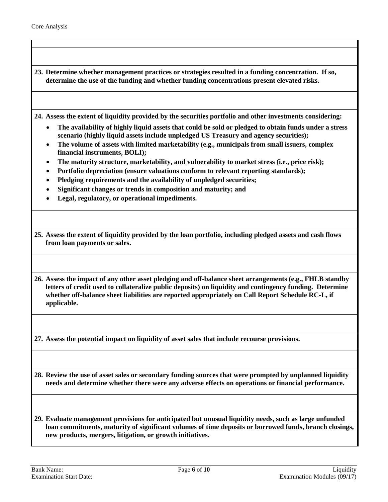**23. Determine whether management practices or strategies resulted in a funding concentration. If so, determine the use of the funding and whether funding concentrations present elevated risks.**

**24. Assess the extent of liquidity provided by the securities portfolio and other investments considering:**

- **The availability of highly liquid assets that could be sold or pledged to obtain funds under a stress scenario (highly liquid assets include unpledged US Treasury and agency securities);**
- **The volume of assets with limited marketability (e.g., municipals from small issuers, complex financial instruments, BOLI);**
- **The maturity structure, marketability, and vulnerability to market stress (i.e., price risk);**
- **Portfolio depreciation (ensure valuations conform to relevant reporting standards);**
- **Pledging requirements and the availability of unpledged securities;**
- **Significant changes or trends in composition and maturity; and**
- **Legal, regulatory, or operational impediments.**
- **25. Assess the extent of liquidity provided by the loan portfolio, including pledged assets and cash flows from loan payments or sales.**

<span id="page-5-0"></span>**26. Assess the impact of any other asset pledging and off-balance sheet arrangements (e.g., FHLB standby letters of credit used to collateralize public deposits) on liquidity and contingency funding. Determine whether off-balance sheet liabilities are reported appropriately on Call Report Schedule RC-L, if applicable.** 

**27. Assess the potential impact on liquidity of asset sales that include recourse provisions.**

**28. Review the use of asset sales or secondary funding sources that were prompted by unplanned liquidity needs and determine whether there were any adverse effects on operations or financial performance.**

**29. Evaluate management provisions for anticipated but unusual liquidity needs, such as large unfunded loan commitments, maturity of significant volumes of time deposits or borrowed funds, branch closings, new products, mergers, litigation, or growth initiatives.**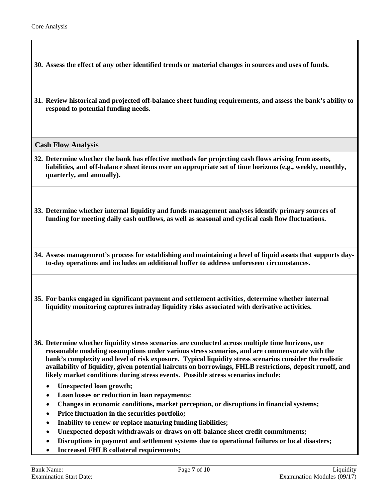**30. Assess the effect of any other identified trends or material changes in sources and uses of funds.**

**31. Review historical and projected off-balance sheet funding requirements, and assess the bank's ability to respond to potential funding needs.**

**Cash Flow Analysis** 

**32. Determine whether the bank has effective methods for projecting cash flows arising from assets, liabilities, and off-balance sheet items over an appropriate set of time horizons (e.g., weekly, monthly, quarterly, and annually).** 

**33. Determine whether internal liquidity and funds management analyses identify primary sources of funding for meeting daily cash outflows, as well as seasonal and cyclical cash flow fluctuations.**

**34. Assess management's process for establishing and maintaining a level of liquid assets that supports dayto-day operations and includes an additional buffer to address unforeseen circumstances.** 

**35. For banks engaged in significant payment and settlement activities, determine whether internal liquidity monitoring captures intraday liquidity risks associated with derivative activities.**

**36. Determine whether liquidity stress scenarios are conducted across multiple time horizons, use reasonable modeling assumptions under various stress scenarios, and are commensurate with the bank's complexity and level of risk exposure. Typical liquidity stress scenarios consider the realistic availability of liquidity, given potential haircuts on borrowings, FHLB restrictions, deposit runoff, and likely market conditions during stress events. Possible stress scenarios include:**

- **Unexpected loan growth;**
- **Loan losses or reduction in loan repayments:**
- **Changes in economic conditions, market perception, or disruptions in financial systems;**
- **Price fluctuation in the securities portfolio;**
- **Inability to renew or replace maturing funding liabilities;**
- **Unexpected deposit withdrawals or draws on off-balance sheet credit commitments;**
- **Disruptions in payment and settlement systems due to operational failures or local disasters;**
- **Increased FHLB collateral requirements;**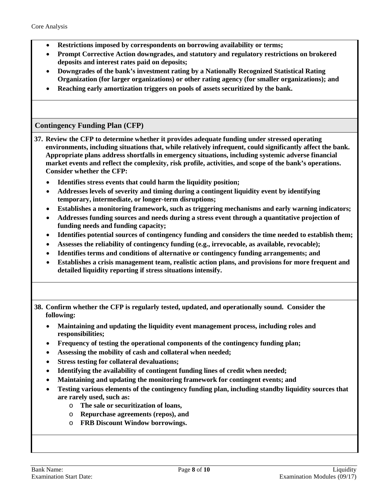- **Restrictions imposed by correspondents on borrowing availability or terms;**
- **Prompt Corrective Action downgrades, and statutory and regulatory restrictions on brokered deposits and interest rates paid on deposits;**
- **Downgrades of the bank's investment rating by a Nationally Recognized Statistical Rating Organization (for larger organizations) or other rating agency (for smaller organizations); and**
- **Reaching early amortization triggers on pools of assets securitized by the bank.**

### **Contingency Funding Plan (CFP)**

**37. Review the CFP to determine whether it provides adequate funding under stressed operating environments, including situations that, while relatively infrequent, could significantly affect the bank. Appropriate plans address shortfalls in emergency situations, including systemic adverse financial market events and reflect the complexity, risk profile, activities, and scope of the bank's operations. Consider whether the CFP:**

- **Identifies stress events that could harm the liquidity position;**
- **Addresses levels of severity and timing during a contingent liquidity event by identifying temporary, intermediate, or longer-term disruptions;**
- **Establishes a monitoring framework, such as triggering mechanisms and early warning indicators;**
- **Addresses funding sources and needs during a stress event through a quantitative projection of funding needs and funding capacity;**
- **Identifies potential sources of contingency funding and considers the time needed to establish them;**
- **Assesses the reliability of contingency funding (e.g., irrevocable, as available, revocable);**
- **Identifies terms and conditions of alternative or contingency funding arrangements; and**
- **Establishes a crisis management team, realistic action plans, and provisions for more frequent and detailed liquidity reporting if stress situations intensify.**

**38. Confirm whether the CFP is regularly tested, updated, and operationally sound. Consider the following:**

- **Maintaining and updating the liquidity event management process, including roles and responsibilities;**
- **Frequency of testing the operational components of the contingency funding plan;**
- **Assessing the mobility of cash and collateral when needed;**
- **Stress testing for collateral devaluations;**
- **Identifying the availability of contingent funding lines of credit when needed;**
- **Maintaining and updating the monitoring framework for contingent events; and**
- **Testing various elements of the contingency funding plan, including standby liquidity sources that are rarely used, such as:**
	- o **The sale or securitization of loans,**
	- o **Repurchase agreements (repos), and**
	- o **FRB Discount Window borrowings.**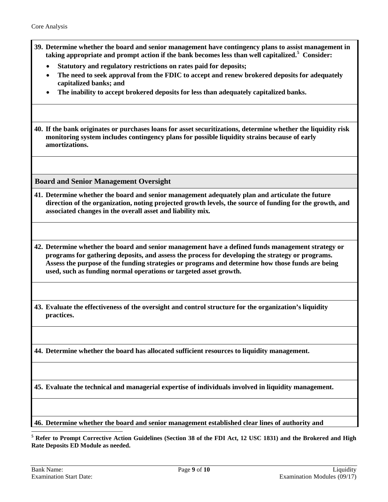- **39. Determine whether the board and senior management have contingency plans to assist management in taking appropriate and prompt action if the bank becomes less than well capitalized. [5](#page-8-1) Consider:** 
	- **Statutory and regulatory restrictions on rates paid for deposits;**
	- **The need to seek approval from the FDIC to accept and renew brokered deposits for adequately capitalized banks; and**
	- **The inability to accept brokered deposits for less than adequately capitalized banks.**

**40. If the bank originates or purchases loans for asset securitizations, determine whether the liquidity risk monitoring system includes contingency plans for possible liquidity strains because of early amortizations.**

<span id="page-8-0"></span>**Board and Senior Management Oversight**

**41. Determine whether the board and senior management adequately plan and articulate the future direction of the organization, noting projected growth levels, the source of funding for the growth, and associated changes in the overall asset and liability mix***.*

**42. Determine whether the board and senior management have a defined funds management strategy or programs for gathering deposits, and assess the process for developing the strategy or programs. Assess the purpose of the funding strategies or programs and determine how those funds are being used, such as funding normal operations or targeted asset growth.**

**43. Evaluate the effectiveness of the oversight and control structure for the organization's liquidity practices.** 

**44. Determine whether the board has allocated sufficient resources to liquidity management.**

**45. Evaluate the technical and managerial expertise of individuals involved in liquidity management.** 

**46. Determine whether the board and senior management established clear lines of authority and** 

<span id="page-8-1"></span> **<sup>5</sup> Refer to Prompt Corrective Action Guidelines (Section 38 of the FDI Act, 12 USC 1831) and the Brokered and High Rate Deposits ED Module as needed.**